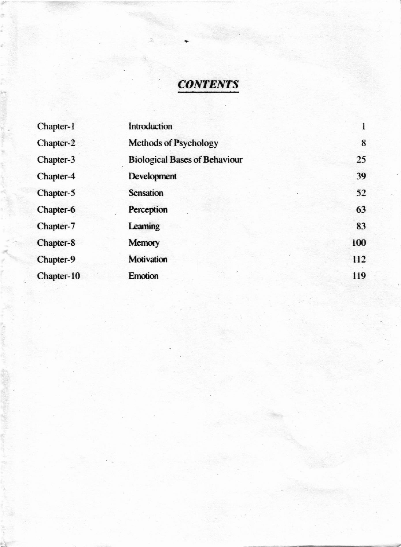# **CONTENTS**

| Chapter-1  | Introduction                         | 1   |
|------------|--------------------------------------|-----|
| Chapter-2  | <b>Methods of Psychology</b>         | 8   |
| Chapter-3  | <b>Biological Bases of Behaviour</b> | 25  |
| Chapter-4  | Development                          | 39  |
| Chapter-5  | <b>Sensation</b>                     | 52  |
| Chapter-6  | Perception                           | 63  |
| Chapter-7  | Learning                             | 83  |
| Chapter-8  | Memory                               | 100 |
| Chapter-9  | <b>Motivation</b>                    | 112 |
| Chapter-10 | <b>Emotion</b>                       | 119 |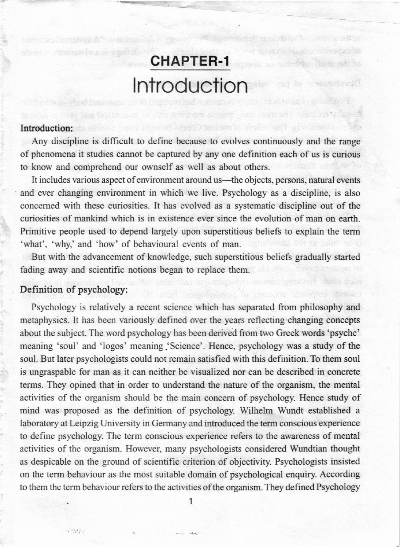# CHAPTER-1 **Introduction**

di norvaded do Vanta adrão

Development of psy

## Introduction: do able to a modulate orderland mothers to ability and selection that a

Any discipline is difficult to define because to evolves continuously and the range of phenomena it studies cannot be captured by any one definition each of us is curious to know and comprehend our ownself as well as about others.

familia is telephone that can people were stop and a market the market plans of the canonical

It includes various aspect of environment around us—the objects, persons, natural events and ever changing environment in which we live. Psychology as a discipline, is also concerned with these curiosities. It has evolved as a systematic discipline out of the curiosities of mankind which is in existence ever since the evolution of man on earth. Primitive people used to depend largely upon superstitious beliefs to explain the term 'what', 'why,' and 'how' of behavioural events of man.

But with the advancement of knowledge, such superstitious beliefs gradually started fading away and scientific notions began to replace them.

### Definition of psychology:

 $\mathcal{L} = \mathcal{L} \mathcal{L} \mathcal{L}$ 

Psychology is relatively a recent science which has separated from philosophy and metaphysics. It has been variously defined over the years reflecting changing concepts about the subject. The word psychology has been derived from two Greek words 'psyche' meaning 'soul' and 'logos' meaning 'Science'. Hence, psychology was a study of the soul. But later psychologists could not remain satisfied with this definition. To them soul is ungraspable for man as it can neither be visualized nor can be described in concrete terms. They opined that in order to understand the nature of the organism, the mental activities of the organism should be the main concern of psychology. Hence study of mind was proposed as the definition of psychology. Wilhelm Wundt established a laboratory at Leipzig University in Germany and introduced the term conscious experience to define psychology. The term conscious experience refers to the awareness of mental activities of the organism. However, many psychologists considered Wundtian thought as despicable on the ground of scientific criterion of objectivity. Psychologists insisted on the term behaviour as the most suitable domain of psychological enquiry. According to them the term behaviour refers to the activities of the organism. They defined Psychology